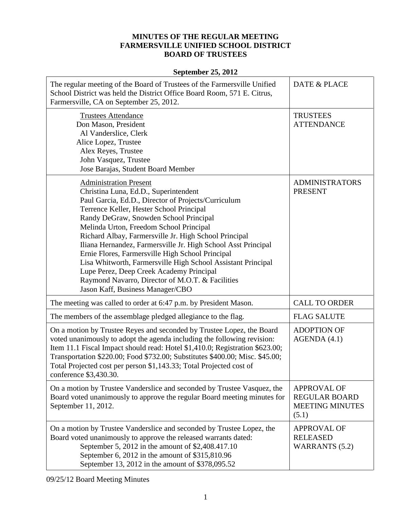## **MINUTES OF THE REGULAR MEETING FARMERSVILLE UNIFIED SCHOOL DISTRICT BOARD OF TRUSTEES**

## **September 25, 2012**

| The regular meeting of the Board of Trustees of the Farmersville Unified<br>School District was held the District Office Board Room, 571 E. Citrus,<br>Farmersville, CA on September 25, 2012.                                                                                                                                                                                                                                                                                                                                                                                                                                                   | DATE & PLACE                                                                  |
|--------------------------------------------------------------------------------------------------------------------------------------------------------------------------------------------------------------------------------------------------------------------------------------------------------------------------------------------------------------------------------------------------------------------------------------------------------------------------------------------------------------------------------------------------------------------------------------------------------------------------------------------------|-------------------------------------------------------------------------------|
| <b>Trustees Attendance</b><br>Don Mason, President<br>Al Vanderslice, Clerk<br>Alice Lopez, Trustee<br>Alex Reyes, Trustee<br>John Vasquez, Trustee<br>Jose Barajas, Student Board Member                                                                                                                                                                                                                                                                                                                                                                                                                                                        | <b>TRUSTEES</b><br><b>ATTENDANCE</b>                                          |
| <b>Administration Present</b><br>Christina Luna, Ed.D., Superintendent<br>Paul Garcia, Ed.D., Director of Projects/Curriculum<br>Terrence Keller, Hester School Principal<br>Randy DeGraw, Snowden School Principal<br>Melinda Urton, Freedom School Principal<br>Richard Albay, Farmersville Jr. High School Principal<br>Iliana Hernandez, Farmersville Jr. High School Asst Principal<br>Ernie Flores, Farmersville High School Principal<br>Lisa Whitworth, Farmersville High School Assistant Principal<br>Lupe Perez, Deep Creek Academy Principal<br>Raymond Navarro, Director of M.O.T. & Facilities<br>Jason Kaff, Business Manager/CBO | <b>ADMINISTRATORS</b><br><b>PRESENT</b>                                       |
| The meeting was called to order at 6:47 p.m. by President Mason.                                                                                                                                                                                                                                                                                                                                                                                                                                                                                                                                                                                 | <b>CALL TO ORDER</b>                                                          |
| The members of the assemblage pledged allegiance to the flag.                                                                                                                                                                                                                                                                                                                                                                                                                                                                                                                                                                                    | <b>FLAG SALUTE</b>                                                            |
| On a motion by Trustee Reyes and seconded by Trustee Lopez, the Board<br>voted unanimously to adopt the agenda including the following revision:<br>Item 11.1 Fiscal Impact should read: Hotel \$1,410.0; Registration \$623.00;<br>Transportation \$220.00; Food \$732.00; Substitutes \$400.00; Misc. \$45.00;<br>Total Projected cost per person \$1,143.33; Total Projected cost of<br>conference \$3,430.30.                                                                                                                                                                                                                                | <b>ADOPTION OF</b><br>AGENDA(4.1)                                             |
| On a motion by Trustee Vanderslice and seconded by Trustee Vasquez, the<br>Board voted unanimously to approve the regular Board meeting minutes for<br>September 11, 2012.                                                                                                                                                                                                                                                                                                                                                                                                                                                                       | <b>APPROVAL OF</b><br><b>REGULAR BOARD</b><br><b>MEETING MINUTES</b><br>(5.1) |
| On a motion by Trustee Vanderslice and seconded by Trustee Lopez, the<br>Board voted unanimously to approve the released warrants dated:<br>September 5, 2012 in the amount of \$2,408.417.10<br>September 6, 2012 in the amount of \$315,810.96<br>September 13, 2012 in the amount of \$378,095.52                                                                                                                                                                                                                                                                                                                                             | <b>APPROVAL OF</b><br><b>RELEASED</b><br><b>WARRANTS (5.2)</b>                |

09/25/12 Board Meeting Minutes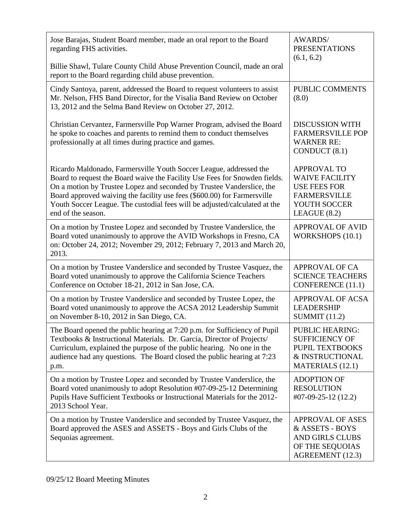| Jose Barajas, Student Board member, made an oral report to the Board<br>regarding FHS activities.                                                                                                                                                                                                                                                                                                         | <b>AWARDS/</b><br><b>PRESENTATIONS</b><br>(6.1, 6.2)                                                                        |
|-----------------------------------------------------------------------------------------------------------------------------------------------------------------------------------------------------------------------------------------------------------------------------------------------------------------------------------------------------------------------------------------------------------|-----------------------------------------------------------------------------------------------------------------------------|
| Billie Shawl, Tulare County Child Abuse Prevention Council, made an oral<br>report to the Board regarding child abuse prevention.                                                                                                                                                                                                                                                                         |                                                                                                                             |
| Cindy Santoya, parent, addressed the Board to request volunteers to assist<br>Mr. Nelson, FHS Band Director, for the Visalia Band Review on October<br>13, 2012 and the Selma Band Review on October 27, 2012.                                                                                                                                                                                            | PUBLIC COMMENTS<br>(8.0)                                                                                                    |
| Christian Cervantez, Farmersville Pop Warner Program, advised the Board<br>he spoke to coaches and parents to remind them to conduct themselves<br>professionally at all times during practice and games.                                                                                                                                                                                                 | <b>DISCUSSION WITH</b><br><b>FARMERSVILLE POP</b><br><b>WARNER RE:</b><br>CONDUCT (8.1)                                     |
| Ricardo Maldonado, Farmersville Youth Soccer League, addressed the<br>Board to request the Board waive the Facility Use Fees for Snowden fields.<br>On a motion by Trustee Lopez and seconded by Trustee Vanderslice, the<br>Board approved waiving the facility use fees (\$600.00) for Farmersville<br>Youth Soccer League. The custodial fees will be adjusted/calculated at the<br>end of the season. | <b>APPROVAL TO</b><br><b>WAIVE FACILITY</b><br><b>USE FEES FOR</b><br><b>FARMERSVILLE</b><br>YOUTH SOCCER<br>LEAGUE $(8.2)$ |
| On a motion by Trustee Lopez and seconded by Trustee Vanderslice, the<br>Board voted unanimously to approve the AVID Workshops in Fresno, CA<br>on: October 24, 2012; November 29, 2012; February 7, 2013 and March 20,<br>2013.                                                                                                                                                                          | <b>APPROVAL OF AVID</b><br>WORKSHOPS (10.1)                                                                                 |
| On a motion by Trustee Vanderslice and seconded by Trustee Vasquez, the<br>Board voted unanimously to approve the California Science Teachers<br>Conference on October 18-21, 2012 in San Jose, CA.                                                                                                                                                                                                       | <b>APPROVAL OF CA</b><br><b>SCIENCE TEACHERS</b><br><b>CONFERENCE</b> (11.1)                                                |
| On a motion by Trustee Vanderslice and seconded by Trustee Lopez, the<br>Board voted unanimously to approve the ACSA 2012 Leadership Summit<br>on November 8-10, 2012 in San Diego, CA.                                                                                                                                                                                                                   | <b>APPROVAL OF ACSA</b><br><b>LEADERSHIP</b><br><b>SUMMIT (11.2)</b>                                                        |
| The Board opened the public hearing at 7:20 p.m. for Sufficiency of Pupil<br>Textbooks & Instructional Materials. Dr. Garcia, Director of Projects/<br>Curriculum, explained the purpose of the public hearing. No one in the<br>audience had any questions. The Board closed the public hearing at 7:23<br>p.m.                                                                                          | <b>PUBLIC HEARING:</b><br><b>SUFFICIENCY OF</b><br>PUPIL TEXTBOOKS<br>& INSTRUCTIONAL<br><b>MATERIALS</b> (12.1)            |
| On a motion by Trustee Lopez and seconded by Trustee Vanderslice, the<br>Board voted unanimously to adopt Resolution #07-09-25-12 Determining<br>Pupils Have Sufficient Textbooks or Instructional Materials for the 2012-<br>2013 School Year.                                                                                                                                                           | <b>ADOPTION OF</b><br><b>RESOLUTION</b><br>$\text{\#07-09-25-12}\ (12.2)$                                                   |
| On a motion by Trustee Vanderslice and seconded by Trustee Vasquez, the<br>Board approved the ASES and ASSETS - Boys and Girls Clubs of the<br>Sequoias agreement.                                                                                                                                                                                                                                        | <b>APPROVAL OF ASES</b><br>& ASSETS - BOYS<br><b>AND GIRLS CLUBS</b><br>OF THE SEQUOIAS<br>AGREEMENT (12.3)                 |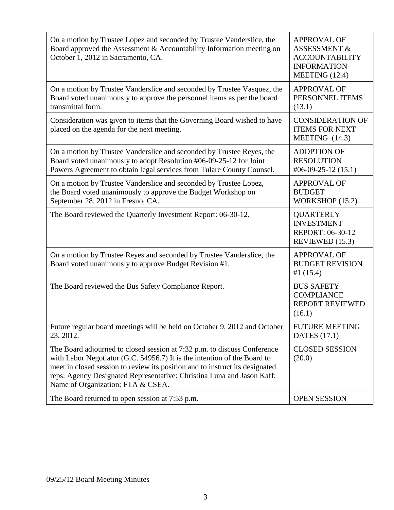| On a motion by Trustee Lopez and seconded by Trustee Vanderslice, the<br>Board approved the Assessment & Accountability Information meeting on<br>October 1, 2012 in Sacramento, CA.                                                                                                                                                                | <b>APPROVAL OF</b><br><b>ASSESSMENT &amp;</b><br><b>ACCOUNTABILITY</b><br><b>INFORMATION</b><br>MEETING $(12.4)$ |
|-----------------------------------------------------------------------------------------------------------------------------------------------------------------------------------------------------------------------------------------------------------------------------------------------------------------------------------------------------|------------------------------------------------------------------------------------------------------------------|
| On a motion by Trustee Vanderslice and seconded by Trustee Vasquez, the<br>Board voted unanimously to approve the personnel items as per the board<br>transmittal form.                                                                                                                                                                             | <b>APPROVAL OF</b><br>PERSONNEL ITEMS<br>(13.1)                                                                  |
| Consideration was given to items that the Governing Board wished to have<br>placed on the agenda for the next meeting.                                                                                                                                                                                                                              | <b>CONSIDERATION OF</b><br><b>ITEMS FOR NEXT</b><br>MEETING $(14.3)$                                             |
| On a motion by Trustee Vanderslice and seconded by Trustee Reyes, the<br>Board voted unanimously to adopt Resolution #06-09-25-12 for Joint<br>Powers Agreement to obtain legal services from Tulare County Counsel.                                                                                                                                | <b>ADOPTION OF</b><br><b>RESOLUTION</b><br>$\text{\#06-09-25-12}\ (15.1)$                                        |
| On a motion by Trustee Vanderslice and seconded by Trustee Lopez,<br>the Board voted unanimously to approve the Budget Workshop on<br>September 28, 2012 in Fresno, CA.                                                                                                                                                                             | <b>APPROVAL OF</b><br><b>BUDGET</b><br>WORKSHOP (15.2)                                                           |
| The Board reviewed the Quarterly Investment Report: 06-30-12.                                                                                                                                                                                                                                                                                       | <b>QUARTERLY</b><br><b>INVESTMENT</b><br><b>REPORT: 06-30-12</b><br>REVIEWED (15.3)                              |
| On a motion by Trustee Reyes and seconded by Trustee Vanderslice, the<br>Board voted unanimously to approve Budget Revision #1.                                                                                                                                                                                                                     | <b>APPROVAL OF</b><br><b>BUDGET REVISION</b><br>#1 $(15.4)$                                                      |
| The Board reviewed the Bus Safety Compliance Report.                                                                                                                                                                                                                                                                                                | <b>BUS SAFETY</b><br><b>COMPLIANCE</b><br><b>REPORT REVIEWED</b><br>(16.1)                                       |
| Future regular board meetings will be held on October 9, 2012 and October<br>23, 2012.                                                                                                                                                                                                                                                              | <b>FUTURE MEETING</b><br><b>DATES</b> (17.1)                                                                     |
| The Board adjourned to closed session at 7:32 p.m. to discuss Conference<br>with Labor Negotiator (G.C. 54956.7) It is the intention of the Board to<br>meet in closed session to review its position and to instruct its designated<br>reps: Agency Designated Representative: Christina Luna and Jason Kaff;<br>Name of Organization: FTA & CSEA. | <b>CLOSED SESSION</b><br>(20.0)                                                                                  |
| The Board returned to open session at 7:53 p.m.                                                                                                                                                                                                                                                                                                     | <b>OPEN SESSION</b>                                                                                              |